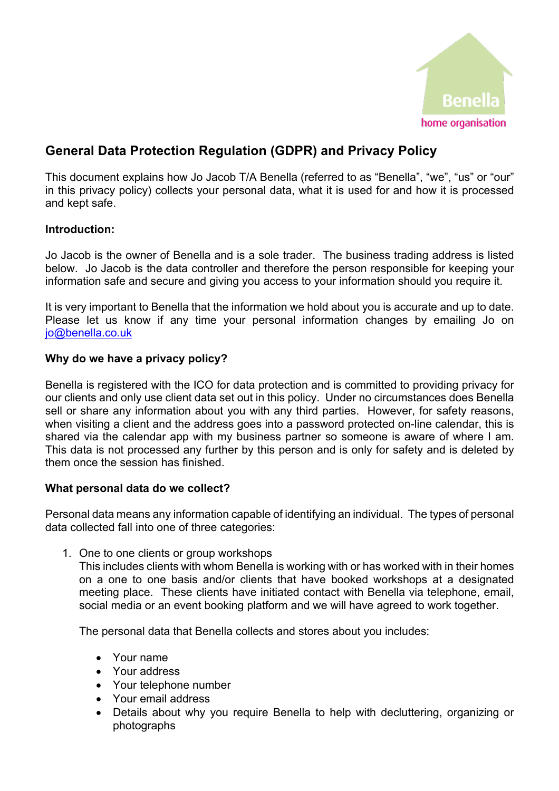

## **General Data Protection Regulation (GDPR) and Privacy Policy**

This document explains how Jo Jacob T/A Benella (referred to as "Benella", "we", "us" or "our" in this privacy policy) collects your personal data, what it is used for and how it is processed and kept safe.

## **Introduction:**

Jo Jacob is the owner of Benella and is a sole trader. The business trading address is listed below. Jo Jacob is the data controller and therefore the person responsible for keeping your information safe and secure and giving you access to your information should you require it.

It is very important to Benella that the information we hold about you is accurate and up to date. Please let us know if any time your personal information changes by emailing Jo on jo@benella.co.uk

## **Why do we have a privacy policy?**

Benella is registered with the ICO for data protection and is committed to providing privacy for our clients and only use client data set out in this policy. Under no circumstances does Benella sell or share any information about you with any third parties. However, for safety reasons, when visiting a client and the address goes into a password protected on-line calendar, this is shared via the calendar app with my business partner so someone is aware of where I am. This data is not processed any further by this person and is only for safety and is deleted by them once the session has finished.

## **What personal data do we collect?**

Personal data means any information capable of identifying an individual. The types of personal data collected fall into one of three categories:

1. One to one clients or group workshops

This includes clients with whom Benella is working with or has worked with in their homes on a one to one basis and/or clients that have booked workshops at a designated meeting place. These clients have initiated contact with Benella via telephone, email, social media or an event booking platform and we will have agreed to work together.

The personal data that Benella collects and stores about you includes:

- Your name
- Your address
- Your telephone number
- Your email address
- Details about why you require Benella to help with decluttering, organizing or photographs